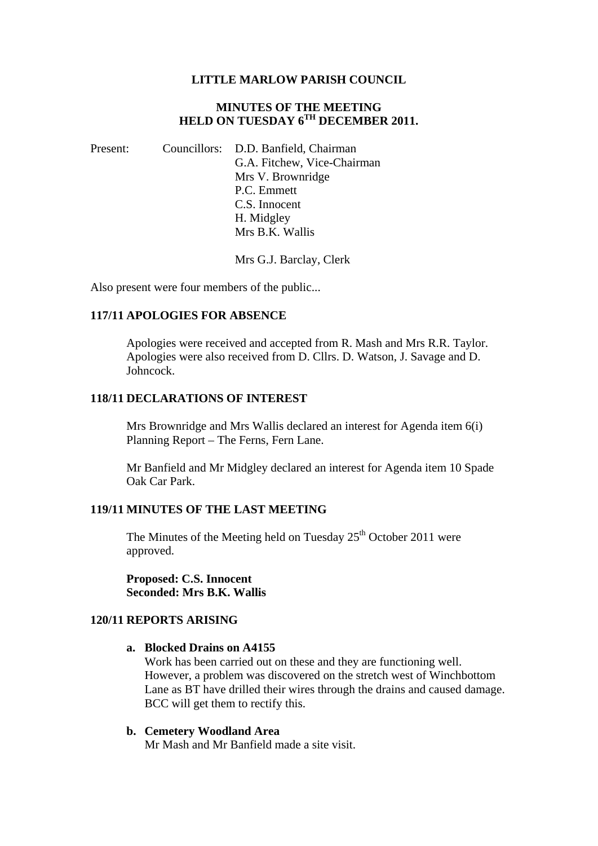#### **LITTLE MARLOW PARISH COUNCIL**

### **MINUTES OF THE MEETING HELD ON TUESDAY 6TH DECEMBER 2011.**

Present: Councillors: D.D. Banfield, Chairman G.A. Fitchew, Vice-Chairman Mrs V. Brownridge P.C. Emmett C.S. Innocent H. Midgley Mrs B.K. Wallis

Mrs G.J. Barclay, Clerk

Also present were four members of the public...

### **117/11 APOLOGIES FOR ABSENCE**

Apologies were received and accepted from R. Mash and Mrs R.R. Taylor. Apologies were also received from D. Cllrs. D. Watson, J. Savage and D. Johncock.

#### **118/11 DECLARATIONS OF INTEREST**

Mrs Brownridge and Mrs Wallis declared an interest for Agenda item 6(i) Planning Report – The Ferns, Fern Lane.

Mr Banfield and Mr Midgley declared an interest for Agenda item 10 Spade Oak Car Park.

### **119/11 MINUTES OF THE LAST MEETING**

The Minutes of the Meeting held on Tuesday  $25<sup>th</sup>$  October 2011 were approved.

**Proposed: C.S. Innocent Seconded: Mrs B.K. Wallis** 

# **120/11 REPORTS ARISING**

#### **a. Blocked Drains on A4155**

Work has been carried out on these and they are functioning well. However, a problem was discovered on the stretch west of Winchbottom Lane as BT have drilled their wires through the drains and caused damage. BCC will get them to rectify this.

## **b. Cemetery Woodland Area**

Mr Mash and Mr Banfield made a site visit.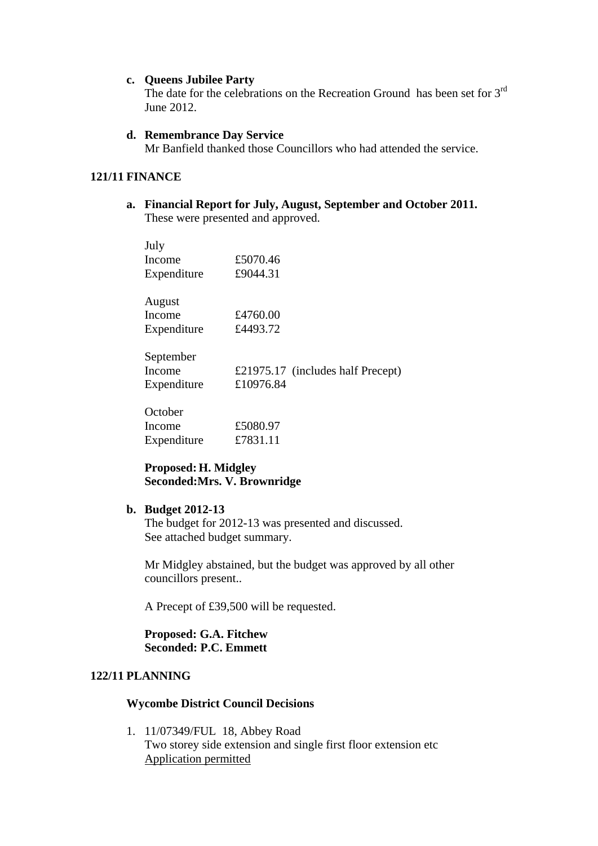#### **c. Queens Jubilee Party**

The date for the celebrations on the Recreation Ground has been set for 3<sup>rd</sup> June 2012.

#### **d. Remembrance Day Service**

Mr Banfield thanked those Councillors who had attended the service.

## **121/11 FINANCE**

**a. Financial Report for July, August, September and October 2011.**  These were presented and approved.

| July        |                                   |
|-------------|-----------------------------------|
| Income      | £5070.46                          |
| Expenditure | £9044.31                          |
| August      |                                   |
| Income      | £4760.00                          |
| Expenditure | £4493.72                          |
| September   |                                   |
| Income      | £21975.17 (includes half Precept) |
| Expenditure | £10976.84                         |
| October     |                                   |
| Income      | £5080.97                          |
| Expenditure | £7831.11                          |

# **Proposed: H. Midgley Seconded:Mrs. V. Brownridge**

### **b. Budget 2012-13**

The budget for 2012-13 was presented and discussed. See attached budget summary.

Mr Midgley abstained, but the budget was approved by all other councillors present..

A Precept of £39,500 will be requested.

**Proposed: G.A. Fitchew Seconded: P.C. Emmett** 

# **122/11 PLANNING**

### **Wycombe District Council Decisions**

1. 11/07349/FUL 18, Abbey Road Two storey side extension and single first floor extension etc Application permitted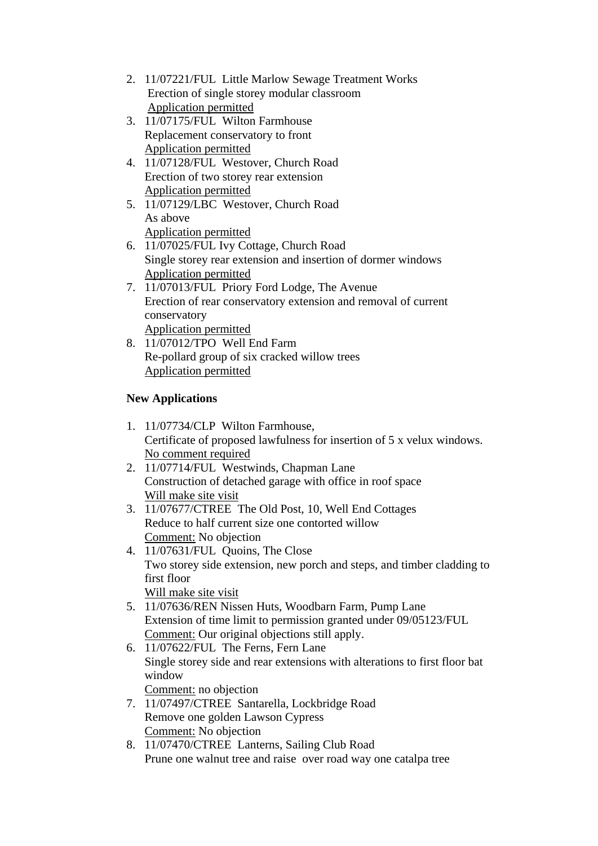- 2. 11/07221/FUL Little Marlow Sewage Treatment Works Erection of single storey modular classroom Application permitted
- 3. 11/07175/FUL Wilton Farmhouse Replacement conservatory to front Application permitted
- 4. 11/07128/FUL Westover, Church Road Erection of two storey rear extension Application permitted
- 5. 11/07129/LBC Westover, Church Road As above Application permitted
- 6. 11/07025/FUL Ivy Cottage, Church Road Single storey rear extension and insertion of dormer windows Application permitted
- 7. 11/07013/FUL Priory Ford Lodge, The Avenue Erection of rear conservatory extension and removal of current conservatory Application permitted
- 8. 11/07012/TPO Well End Farm Re-pollard group of six cracked willow trees Application permitted

# **New Applications**

- 1. 11/07734/CLP Wilton Farmhouse, Certificate of proposed lawfulness for insertion of 5 x velux windows. No comment required
- 2. 11/07714/FUL Westwinds, Chapman Lane Construction of detached garage with office in roof space Will make site visit
- 3. 11/07677/CTREE The Old Post, 10, Well End Cottages Reduce to half current size one contorted willow Comment: No objection
- 4. 11/07631/FUL Quoins, The Close Two storey side extension, new porch and steps, and timber cladding to first floor Will make site visit
- 5. 11/07636/REN Nissen Huts, Woodbarn Farm, Pump Lane Extension of time limit to permission granted under 09/05123/FUL Comment: Our original objections still apply.
- 6. 11/07622/FUL The Ferns, Fern Lane Single storey side and rear extensions with alterations to first floor bat window
	- Comment: no objection
- 7. 11/07497/CTREE Santarella, Lockbridge Road Remove one golden Lawson Cypress Comment: No objection
- 8. 11/07470/CTREE Lanterns, Sailing Club Road Prune one walnut tree and raise over road way one catalpa tree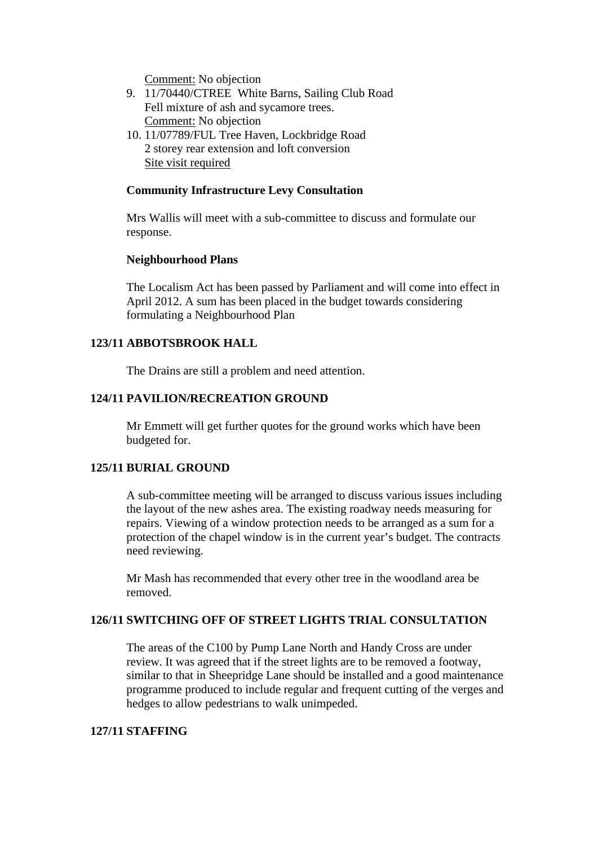Comment: No objection

- 9. 11/70440/CTREE White Barns, Sailing Club Road Fell mixture of ash and sycamore trees. Comment: No objection
- 10. 11/07789/FUL Tree Haven, Lockbridge Road 2 storey rear extension and loft conversion Site visit required

#### **Community Infrastructure Levy Consultation**

Mrs Wallis will meet with a sub-committee to discuss and formulate our response.

#### **Neighbourhood Plans**

The Localism Act has been passed by Parliament and will come into effect in April 2012. A sum has been placed in the budget towards considering formulating a Neighbourhood Plan

#### **123/11 ABBOTSBROOK HALL**

The Drains are still a problem and need attention.

#### **124/11 PAVILION/RECREATION GROUND**

Mr Emmett will get further quotes for the ground works which have been budgeted for.

#### **125/11 BURIAL GROUND**

A sub-committee meeting will be arranged to discuss various issues including the layout of the new ashes area. The existing roadway needs measuring for repairs. Viewing of a window protection needs to be arranged as a sum for a protection of the chapel window is in the current year's budget. The contracts need reviewing.

Mr Mash has recommended that every other tree in the woodland area be removed.

### **126/11 SWITCHING OFF OF STREET LIGHTS TRIAL CONSULTATION**

The areas of the C100 by Pump Lane North and Handy Cross are under review. It was agreed that if the street lights are to be removed a footway, similar to that in Sheepridge Lane should be installed and a good maintenance programme produced to include regular and frequent cutting of the verges and hedges to allow pedestrians to walk unimpeded.

## **127/11 STAFFING**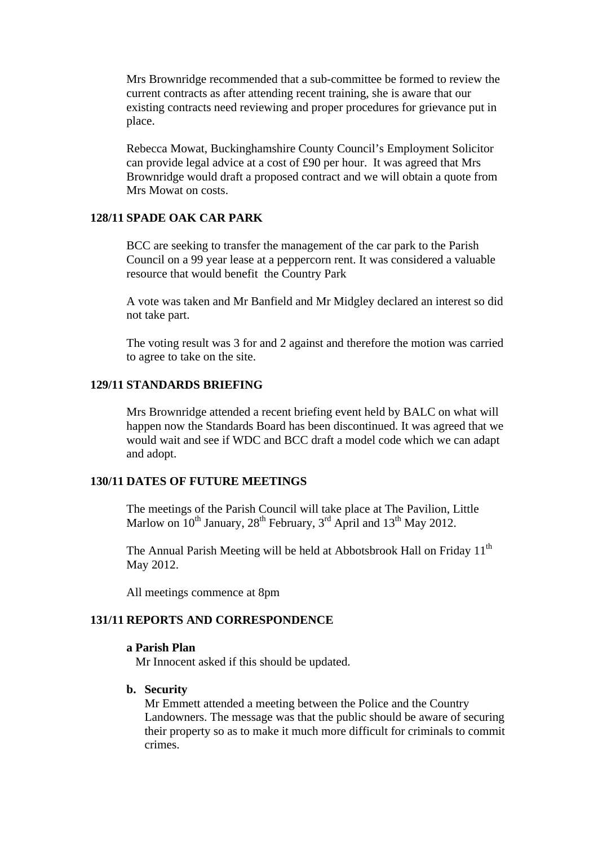Mrs Brownridge recommended that a sub-committee be formed to review the current contracts as after attending recent training, she is aware that our existing contracts need reviewing and proper procedures for grievance put in place.

Rebecca Mowat, Buckinghamshire County Council's Employment Solicitor can provide legal advice at a cost of £90 per hour. It was agreed that Mrs Brownridge would draft a proposed contract and we will obtain a quote from Mrs Mowat on costs.

# **128/11 SPADE OAK CAR PARK**

BCC are seeking to transfer the management of the car park to the Parish Council on a 99 year lease at a peppercorn rent. It was considered a valuable resource that would benefit the Country Park

A vote was taken and Mr Banfield and Mr Midgley declared an interest so did not take part.

The voting result was 3 for and 2 against and therefore the motion was carried to agree to take on the site.

## **129/11 STANDARDS BRIEFING**

Mrs Brownridge attended a recent briefing event held by BALC on what will happen now the Standards Board has been discontinued. It was agreed that we would wait and see if WDC and BCC draft a model code which we can adapt and adopt.

# **130/11 DATES OF FUTURE MEETINGS**

The meetings of the Parish Council will take place at The Pavilion, Little Marlow on  $10^{th}$  January,  $28^{th}$  February,  $3^{rd}$  April and  $13^{th}$  May 2012.

The Annual Parish Meeting will be held at Abbotsbrook Hall on Friday 11<sup>th</sup> May 2012.

All meetings commence at 8pm

# **131/11 REPORTS AND CORRESPONDENCE**

#### **a Parish Plan**

Mr Innocent asked if this should be updated.

#### **b. Security**

Mr Emmett attended a meeting between the Police and the Country Landowners. The message was that the public should be aware of securing their property so as to make it much more difficult for criminals to commit crimes.